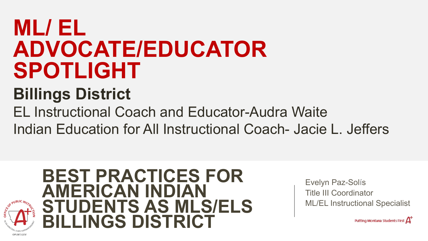## **ML/ EL ADVOCATE/EDUCATOR SPOTLIGHT**

#### **Billings District**

EL Instructional Coach and Educator-Audra Waite Indian Education for All Instructional Coach- Jacie L. Jeffers

**BEST PRACTICES FOR AMERICAN INDIAN STUDENTS AS MLS/ELS BILLINGS DISTRICT**

Evelyn Paz-Solís Title III Coordinator ML/EL Instructional Specialist

Putting Montana Students First  $\Delta^2$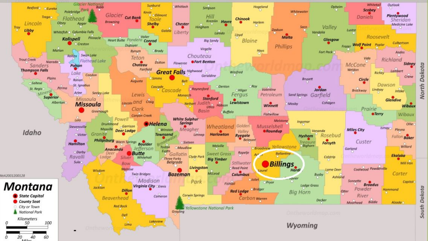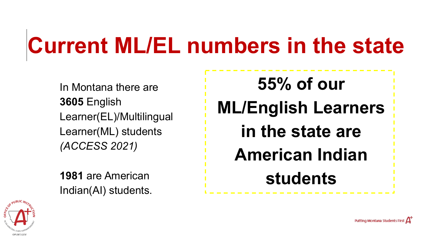# **Current ML/EL numbers in the state**

In Montana there are **3605** English Learner(EL)/Multilingual Learner(ML) students *(ACCESS 2021)*

**1981** are American Indian(AI) students.

**55% of our ML/English Learners in the state are American Indian students**



Putting Montana Students First  $\Delta$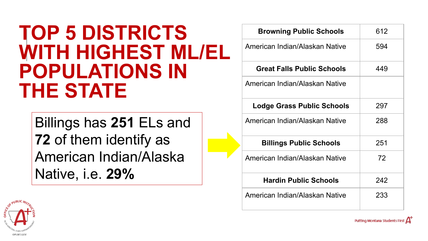#### **TOP 5 DISTRICTS WITH HIGHEST ML/EL POPULATIONS IN THE STATE**

Billings has **251** ELs and **72** of them identify as American Indian/Alaska Native, i.e. **29%**

| <b>Browning Public Schools</b>    | 612 |
|-----------------------------------|-----|
| American Indian/Alaskan Native    | 594 |
| <b>Great Falls Public Schools</b> | 449 |
| American Indian/Alaskan Native    |     |
| Lodge Grass Public Schools        | 297 |
| American Indian/Alaskan Native    | 288 |
| <b>Billings Public Schools</b>    | 251 |
| American Indian/Alaskan Native    | 72  |
| <b>Hardin Public Schools</b>      | 242 |
| American Indian/Alaskan Native    | 233 |

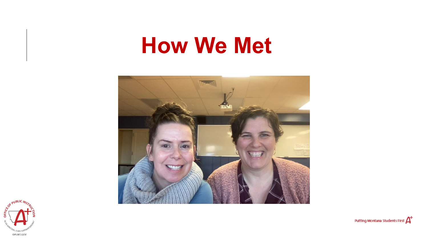## **How We Met**





Putting Montana Students First A<sup>+</sup>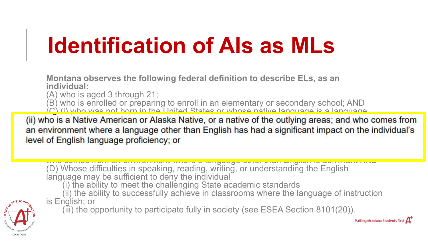# **Identification of AIs as MLs**

**Montana observes the following federal definition to describe ELs, as an individual:**

(A) who is aged 3 through 21;

(B) who is enrolled or preparing to enroll in an elementary or secondary school; AND

 $\langle C \rangle$  (i) who was not born in the United States or whose native language is a language.

(ii) who is a Native American or Alaska Native, or a native of the outlying areas; and who comes from nment where a language other than English has had a significant impact on the ing who mish who can anguage other than English has near a significant impact on level of English language proficiency; or

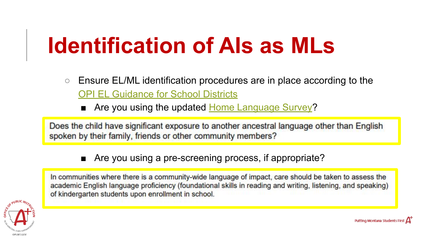# **Identification of AIs as MLs**

- Ensure EL/ML identification procedures are in place according to the **[OPI EL Guidance for School Districts](https://opi.mt.gov/Portals/182/Page%20Files/English%20Language%20Learners/Docs/EnglishLearnerGuidanceForSchoolDistricts.pdf)** 
	- Are you using the updated [Home Language Survey](https://opi.mt.gov/Portals/182/Page%20Files/Statewide%20Testing/ELP%20Page/2020-2021/APPENDIX%20A_MONTANA%20HOME%20LANGUAGE%20SURVEY.pdf)?

Does the child have significant exposure to another ancestral language other than English spoken by their family, friends or other community members?

■ Are you using a pre-screening process, if appropriate?

In communities where there is a community-wide language of impact, care should be taken to assess the academic English language proficiency (foundational skills in reading and writing, listening, and speaking) of kindergarten students upon enrollment in school.

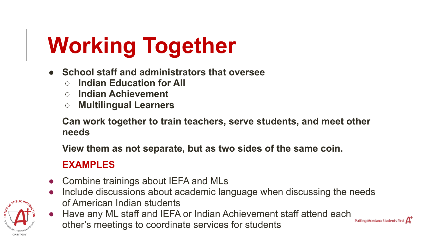# **Working Together**

- **● School staff and administrators that oversee**
	- **○ Indian Education for All**
	- **○ Indian Achievement**
	- **○ Multilingual Learners**

**Can work together to train teachers, serve students, and meet other needs**

**View them as not separate, but as two sides of the same coin.**

#### **EXAMPLES**

- Combine trainings about IEFA and MLs
- Include discussions about academic language when discussing the needs of American Indian students
- Have any ML staff and IEFA or Indian Achievement staff attend each other's meetings to coordinate services for students

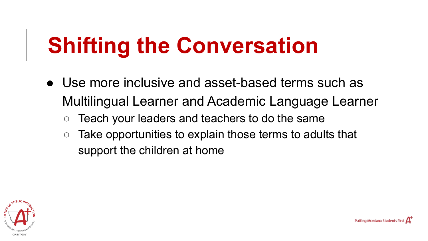# **Shifting the Conversation**

- Use more inclusive and asset-based terms such as Multilingual Learner and Academic Language Learner
	- Teach your leaders and teachers to do the same
	- $\circ$  Take opportunities to explain those terms to adults that support the children at home

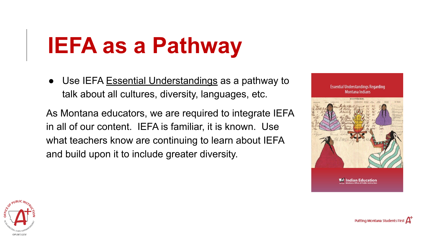# **IEFA as a Pathway**

• Use IEFA [Essential Understandings](https://opi.mt.gov/Portals/182/Page%20Files/Indian%20Education/Indian%20Education%20101/essentialunderstandings.pdf) as a pathway to talk about all cultures, diversity, languages, etc.

As Montana educators, we are required to integrate IEFA in all of our content. IEFA is familiar, it is known. Use what teachers know are continuing to learn about IEFA and build upon it to include greater diversity.



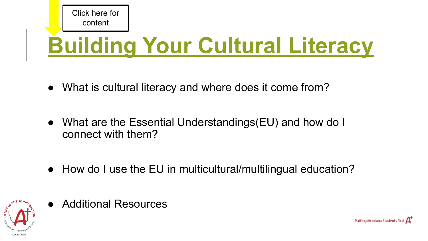

# **[Building Your Cultural Literacy](https://docs.google.com/document/d/1rVzwVBH9WLe-RVP4_pOgE40NNrkwuvL45OaBTsz_D9s/edit?usp=sharing)**

- What is cultural literacy and where does it come from?
- What are the Essential Understandings(EU) and how do I connect with them?
- How do I use the EU in multicultural/multilingual education?



**Additional Resources** 

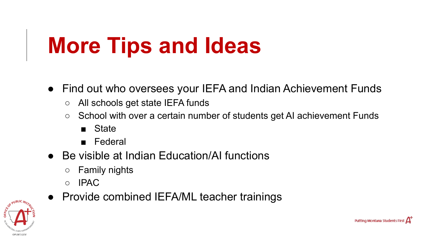# **More Tips and Ideas**

- Find out who oversees your IEFA and Indian Achievement Funds
	- All schools get state IEFA funds
	- School with over a certain number of students get AI achievement Funds

- State
- Federal
- Be visible at Indian Education/AI functions
	- Family nights
	- IPAC
	- Provide combined IEFA/ML teacher trainings